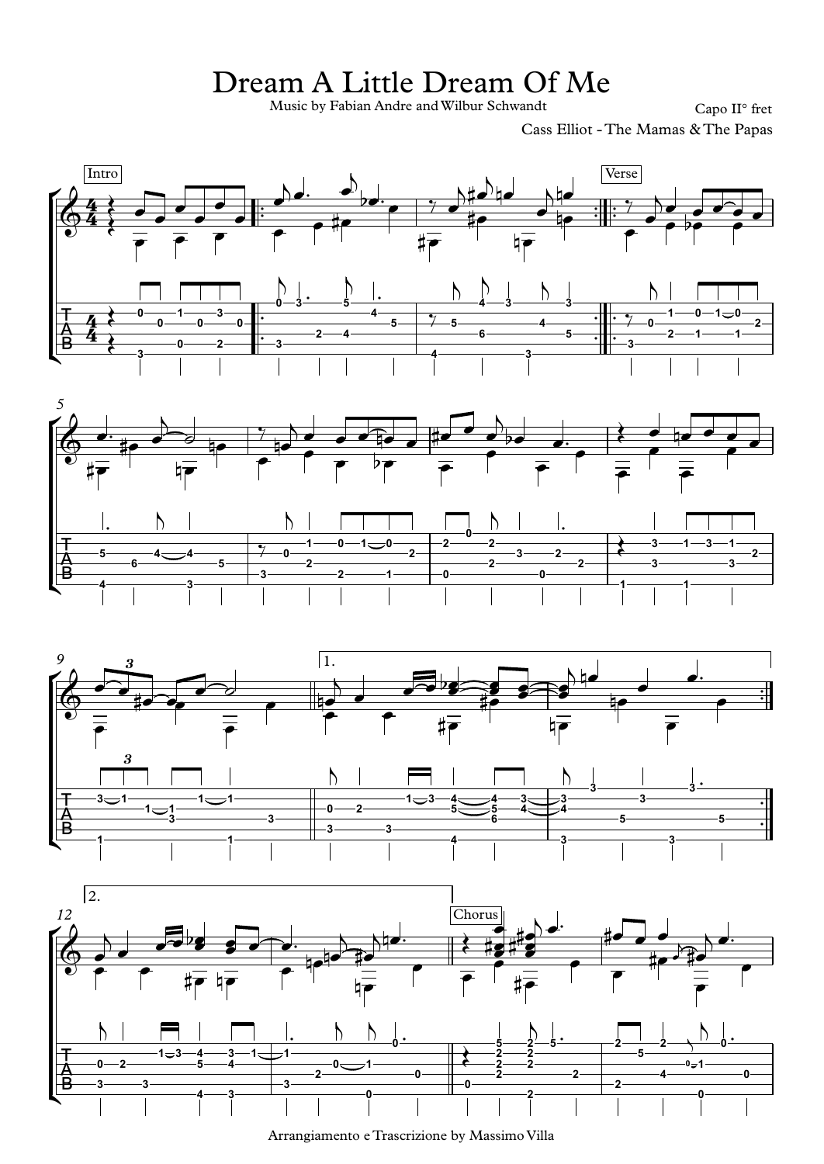## Dream A Little Dream Of Me

Music by Fabian Andre and Wilbur Schwandt Capo II° fret

Cass Elliot - The Mamas & The Papas









Arrangiamento e Trascrizione by Massimo Villa